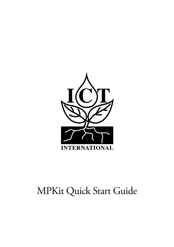

# MPKit Quick Start Guide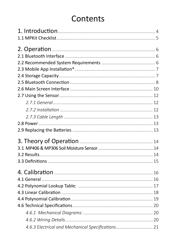## Contents

| 4.6.3 Electrical and Mechanical Specifications 21 |  |
|---------------------------------------------------|--|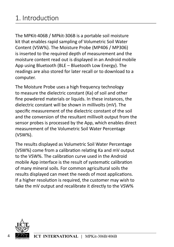<span id="page-3-0"></span>The MPKit-406B / MPkit-306B is a portable soil moisture kit that enables rapid sampling of Volumetric Soil Water Content (VSW%). The Moisture Probe (MP406 / MP306) is inserted to the required depth of measurement and the moisture content read out is displayed in an Android mobile App using Bluetooth (BLE – Bluetooth Low Energy). The readings are also stored for later recall or to download to a computer.

The Moisture Probe uses a high frequency technology to measure the dielectric constant (Ka) of soil and other fine powdered materials or liquids. In these instances, the dielectric constant will be shown in millivolts (mV). The specific measurement of the dielectric constant of the soil and the conversion of the resultant millivolt output from the sensor probes is processed by the App, which enables direct measurement of the Volumetric Soil Water Percentage (VSW%).

The results displayed as Volumetric Soil Water Percentage (VSW%) come from a calibration relating Ka and mV output to the VSW%. The calibration curve used in the Android mobile App interface is the result of systematic calibration of many mineral soils. For common agricultural soils the results displayed can meet the needs of most applications. If a higher resolution is required, the customer may wish to take the mV output and recalibrate it directly to the VSW%

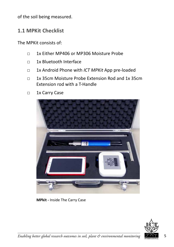<span id="page-4-0"></span>of the soil being measured.

#### **1.1 MPKit Checklist**

The MPKit consists of:

- □ 1x Either MP406 or MP306 Moisture Probe
- □ 1x Bluetooth Interface
- □ 1x Android Phone with *ICT MPKit* App pre-loaded
- □ 1x 35cm Moisture Probe Extension Rod and 1x 35cm Extension rod with a T-Handle
- □ 1x Carry Case



**MPkit -** Inside The Carry Case

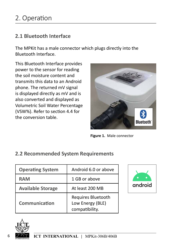#### <span id="page-5-0"></span>**2.1 Bluetooth Interface**

The MPKit has a male connector which plugs directly into the Bluetooth Interface.

This Bluetooth Interface provides power to the sensor for reading the soil moisture content and transmits this data to an Android phone. The returned mV signal is displayed directly as mV and is also converted and displayed as Volumetric Soil Water Percentage (VSW%). Refer to section 4.4 for the conversion table.



**Figure 1.** Male connector

#### **2.2 Recommended System Requirements**

| <b>Operating System</b>  | Android 6.0 or above                                     |
|--------------------------|----------------------------------------------------------|
| <b>RAM</b>               | 1 GB or above                                            |
| <b>Available Storage</b> | At least 200 MB                                          |
| Communication            | Requires Bluetooth<br>Low Energy (BLE)<br>compatibility. |



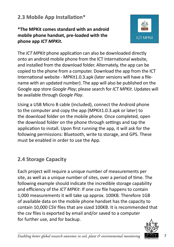## <span id="page-6-0"></span>**2.3 Mobile App Installation\***

**\*The MPKit comes standard with an android mobile phone handset, pre-loaded with the phone app** *ICT MPKit***.** 



The *ICT MPKit* phone application can also be downloaded directly onto an android mobile phone from the ICT International website, and installed from the download folder. Alternately, the app can be copied to the phone from a computer. Download the app from the ICT International website - MPKit1.0.3.apk (later versions will have a filename with an updated number). The app will also be published on the Google app store *Google Play*; please search for *ICT MPKit*. Updates will be available through *Google Play*.

Using a USB Micro B cable (included), connect the Android phone to the computer and copy the app (MPKit1.0.3.apk or later) to the download folder on the mobile phone. Once completed, open the download folder on the phone through settings and tap the application to install. Upon first running the app, it will ask for the following permissions: Bluetooth, write to storage, and GPS. These must be enabled in order to use the App.

## **2.4 Storage Capacity**

Each project will require a unique number of measurements per site, as well as a unique number of sites, over a period of time. The following example should indicate the incredible storage capability and efficiency of the *ICT MPKit*: If one csv file happens to contain 1,000 measurements it will take up approx. 100KB. Therefore 1GB of available data on the mobile phone handset has the capacity to contain 10,000 CSV files that are sized 100KB. It is recommended that the csv files is exported by email and/or saved to a computer for further use, and for backup.

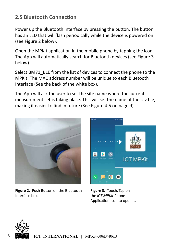## <span id="page-7-0"></span>**2.5 Bluetooth Connection**

Power up the Bluetooth Interface by pressing the button. The button has an LED that will flash periodically while the device is powered on (see Figure 2 below).

Open the MPKit application in the mobile phone by tapping the icon. The App will automatically search for Bluetooth devices (see Figure 3 below).

Select BM71\_BLE from the list of devices to connect the phone to the MPKit. The MAC address number will be unique to each Bluetooth Interface (See the back of the white box).

The App will ask the user to set the site name where the current measurement set is taking place. This will set the name of the csv file, making it easier to find in future (See Figure 4-5 on page 9).



**Figure 2.** Push Button on the Bluetooth Interface box.



**Figure 3.** Touch/Tap on the *ICT MPKit* Phone Application Icon to open it.

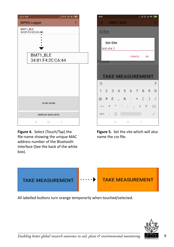

**Figure 4.** Select (Touch/Tap) the file-name showing the unique MAC address number of the Bluetooth Interface (See the back of the white box).



**Figure 5.** Set the site which will also name the csv file.



All labelled buttons turn orange temporarily when touched/selected.



*Enabling better global research outcomes in soil, plant & environmental monitoring* 9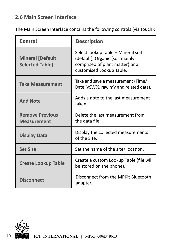## <span id="page-9-0"></span>**2.6 Main Screen Interface**

The Main Screen Interface contains the following controls (via touch):

| <b>Control</b>                                    | <b>Description</b>                                                                                                                   |
|---------------------------------------------------|--------------------------------------------------------------------------------------------------------------------------------------|
| <b>Mineral [Default</b><br><b>Selected Table]</b> | Select lookup table - Mineral soil<br>(default), Organic (soil mainly<br>comprised of plant matter) or a<br>customised Lookup Table. |
| <b>Take Measurement</b>                           | Take and save a measurement (Time/<br>Date, VSW%, raw mV and related data).                                                          |
| <b>Add Note</b>                                   | Adds a note to the last measurement<br>taken.                                                                                        |
| <b>Remove Previous</b><br><b>Measurement</b>      | Delete the last measurement from<br>the data file.                                                                                   |
| <b>Display Data</b>                               | Display the collected measurements<br>of the Site.                                                                                   |
| <b>Set Site</b>                                   | Set the name of the site/ location.                                                                                                  |
| <b>Create Lookup Table</b>                        | Create a custom Lookup Table (file will<br>be stored on the phone).                                                                  |
| <b>Disconnect</b>                                 | Disconnect from the MPKit Bluetooth<br>adapter.                                                                                      |

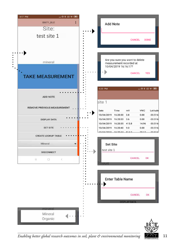

*Enabling better global research outcomes in soil, plant & environmental monitoring*  $\mathcal{T}$   $\mathcal{F}$  11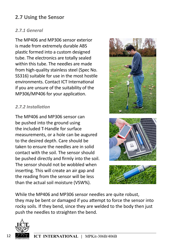## <span id="page-11-0"></span>**2.7 Using the Sensor**

#### *2.7.1 General*

The MP406 and MP306 sensor exterior is made from extremely durable ABS plastic formed into a custom designed tube. The electronics are totally sealed within this tube. The needles are made from high-quality stainless steel (Spec No. SS316) suitable for use in the most hostile environments. Contact ICT International if you are unsure of the suitability of the MP306/MP406 for your application.

#### *2.7.2 Installation*

The MP406 and MP306 sensor can be pushed into the ground using the included T-Handle for surface measurements, or a hole can be augured to the desired depth. Care should be taken to ensure the needles are in solid contact with the soil. The sensor should be pushed directly and firmly into the soil. The sensor should not be wobbled when inserting. This will create an air gap and the reading from the sensor will be less than the actual soil moisture (VSW%).







While the MP406 and MP306 sensor needles are quite robust, they may be bent or damaged if you attempt to force the sensor into rocky soils. If they bend, since they are welded to the body then just push the needles to straighten the bend.

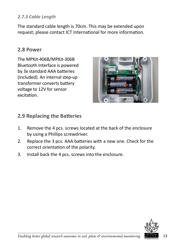#### <span id="page-12-0"></span>*2.7.3 Cable Length*

The standard cable length is 70cm. This may be extended upon request; please contact ICT International for more information.

#### **2.8 Power**

The MPKit-406B/MPKit-306B Bluetooth Interface is powered by 3x standard AAA batteries (included). An internal step-up transformer converts battery voltage to 12V for sensor excitation.



#### **2.9 Replacing the Batteries**

- 1. Remove the 4 pcs. screws located at the back of the enclosure by using a Phillips screwdriver.
- 2. Replace the 3 pcs. AAA batteries with a new one. Check for the correct orientation of the polarity.
- 3. Install back the 4 pcs. screws into the enclosure.

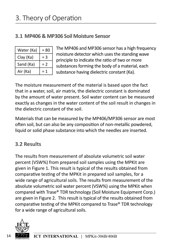## <span id="page-13-0"></span>**3.1 MP406 & MP306 Soil Moisture Sensor**

| Water (Ka) | $= 80$ |
|------------|--------|
| Clay (Ka)  | = 3    |
| Sand (Ka)  | = 2    |
| Air (Ka)   |        |

The MP406 and MP306 sensor has a high frequency moisture detector which uses the standing wave principle to indicate the ratio of two or more substances forming the body of a material, each substance having dielectric constant (Ka).

The moisture measurement of the material is based upon the fact that in a water, soil, air matrix, the dielectric constant is dominated by the amount of water present. Soil water content can be measured exactly as changes in the water content of the soil result in changes in the dielectric constant of the soil.

Materials that can be measured by the MP406/MP306 sensor are most often soil, but can also be any composition of non-metallic powdered, liquid or solid phase substance into which the needles are inserted.

## **3.2 Results**

The results from measurement of absolute volumetric soil water percent (VSW%) from prepared soil samples using the MPKit are given in Figure 1. This result is typical of the results obtained from comparative testing of the MPKit in prepared soil samples, for a wide range of agricultural soils. The results from measurement of the absolute volumetric soil water percent (VSW%) using the MPKit when compared with Trase® TDR technology (Soil Moisture Equipment Corp.) are given in Figure 2. This result is typical of the results obtained from comparative testing of the MPKit compared to Trase® TDR technology for a wide range of agricultural soils.

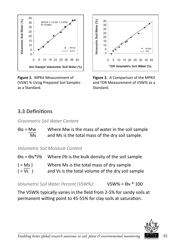<span id="page-14-0"></span>

**Figure 1.** MPKit Measurement of (VSW) % Using Prepared Soil Samples as a Standard.



**Figure 2.** A Comparison of the MPKit and TDR Measurement of VSW% as a Standard.

## **3.3 Definitions**

*Gravimetric Soil Water Content*

| $\Theta$ g = Mw | Where Mw is the mass of water in the soil sample |
|-----------------|--------------------------------------------------|
| Ms              | and Ms is the total mass of the dry soil sample. |

*Volumetric Soil Moisture Content*

| $\Theta$ g = $\Theta$ g* $\rho$ b | Where Pb is the bulk density of the soil sample   |
|-----------------------------------|---------------------------------------------------|
| $( = Ms )$                        | Where Ms is the total mass of dry sample          |
| $( = Vs )$                        | and Vs is the total volume of the dry soil sample |

*Volumetric Soil Water Percent (VSW%):* VSW% = Ɵν \* 100

The VSW% typically varies in the field from 2-5% for sandy soils at permanent wilting point to 45-55% for clay soils at saturation.

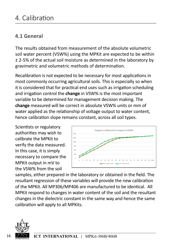## <span id="page-15-0"></span>**4.1 General**

The results obtained from measurement of the absolute volumetric soil water percent (VSW%) using the MPKit are expected to be within ± 2-5% of the actual soil moisture as determined in the laboratory by gravimetric and volumetric methods of determination.

Recalibration is not expected to be necessary for most applications in most commonly occurring agricultural soils. This is especially so when it is considered that for practical end uses such as irrigation scheduling and irrigation control the **change** in VSW% is the most important variable to be determined for management decision making. The **change** measured will be correct in absolute VSW% units or mm of water applied as the relationship of voltage output to water content, hence calibration slope remains constant, across all soil types.

Scientists or regulatory authorities may wish to calibrate the MPKit to verify the data measured. In this case, it is simply necessary to compare the MPKit output in mV to the VSW% from the soil



samples, either prepared in the laboratory or obtained in the field. The resultant regression of these variables will provide the new calibration of the MPKit. All MP306/MP406 are manufactured to be identical. All MPKit respond to changes in water content of the soil and the resultant changes in the dielectric constant in the same way and hence the same calibration will apply to all MPKits.

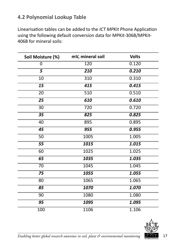## <span id="page-16-0"></span>**4.2 Polynomial Lookup Table**

Linearisation tables can be added to the *ICT MPKit* Phone Application using the following default conversion data for MPKit-306B/MPKit-406B for mineral soils:

| Soil Moisture (%) | mV, mineral soil | <b>Volts</b> |
|-------------------|------------------|--------------|
| 0                 | 120              | 0.120        |
| 5                 | 210              | 0.210        |
| 10                | 310              | 0.310        |
| 15                | 415              | 0.415        |
| 20                | 510              | 0.510        |
| $\overline{25}$   | 610              | 0.610        |
| $\overline{30}$   | 720              | 0.720        |
| $\overline{35}$   | 825              | 0.825        |
| 40                | 895              | 0.895        |
| 45                | 955              | 0.955        |
| 50                | 1005             | 1.005        |
| 55                | 1015             | 1.015        |
| 60                | 1025             | 1.025        |
| 65                | 1035             | 1.035        |
| 70                | 1045             | 1.045        |
| 75                | 1055             | 1.055        |
| $\overline{80}$   | 1065             | 1.065        |
| 85                | 1070             | 1.070        |
| 90                | 1080             | 1.080        |
| 95                | 1095             | 1.095        |
| 100               | 1106             | 1.106        |



*Enabling better global research outcomes in soil, plant & environmental monitoring* 17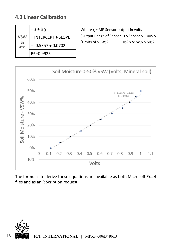## <span id="page-17-0"></span>**4.3 Linear Calibration**

|                   | $= a + b \chi$       |
|-------------------|----------------------|
| <b>VSW</b>        | = INTERCEPT + SLOPE  |
| ℅<br>$0^{\sim}50$ | $= -0.5357 + 0.0702$ |
|                   | $R^2 = 0.9925$       |

Where  $x = MP$  Sensor output in volts {Output Range of Sensor 0 ≤ Sensor ≤ 1.005 V  ${I}$  {Limits of VSW%  $0\% \leq$  VSW%  $\leq$  50%



The formulas to derive these equations are available as both Microsoft Excel files and as an R Script on request.

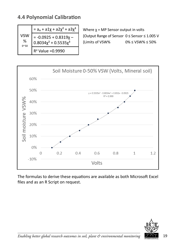## <span id="page-18-0"></span>**4.4 Polynomial Calibration**

|                                 | $= a_o + a1\chi + a2\chi^2 + a3\chi^3$                     |
|---------------------------------|------------------------------------------------------------|
| <b>VSW</b><br>℅<br>$0^{\sim}50$ | $= -0.0925 + 0.8319x -$<br>$0.8034\chi^2$ + $0.5535\chi^3$ |
|                                 | $R^2$ Value = 0.9990                                       |

Where  $\chi$  = MP Sensor output in volts {Output Range of Sensor 0 ≤ Sensor ≤ 1.005 V  ${I}$  {Limits of VSW%  $0\% \leq$  VSW%  $\leq$  50%



The formulas to derive these equations are available as both Microsoft Excel files and as an R Script on request.



*Enabling better global research outcomes in soil, plant & environmental monitoring*  $\widetilde{\mathcal{I}}$  19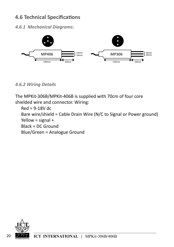## <span id="page-19-0"></span>**4.6 Technical Specifications**

*4.6.1 Mechanical Diagrams:*



#### *4.6.2 Wiring Details*

The MPKit-306B/MPKit-406B is supplied with 70cm of four core shielded wire and connector. Wiring:

Red = 9-18V dc Bare wire/shield = Cable Drain Wire (N/C to Signal or Power ground) Yellow = signal + Black = DC Ground Blue/Green = Analogue Ground

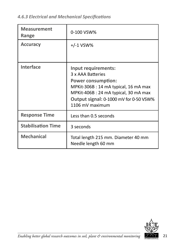<span id="page-20-0"></span>*4.6.3 Electrical and Mechanical Specifications*

| <b>Measurement</b><br>Range | 0-100 VSW%                                                                                                                                                                                                         |
|-----------------------------|--------------------------------------------------------------------------------------------------------------------------------------------------------------------------------------------------------------------|
| <b>Accuracy</b>             | $+/-1$ VSW%                                                                                                                                                                                                        |
|                             |                                                                                                                                                                                                                    |
| <b>Interface</b>            | Input requirements:<br>3 x AAA Batteries<br><b>Power consumption:</b><br>MPKit-306B: 14 mA typical, 16 mA max<br>MPKit-406B: 24 mA typical, 30 mA max<br>Output signal: 0-1000 mV for 0-50 VSW%<br>1106 mV maximum |
| <b>Response Time</b>        | Less than 0.5 seconds                                                                                                                                                                                              |
| <b>Stabilisation Time</b>   | 3 seconds                                                                                                                                                                                                          |
| <b>Mechanical</b>           | Total length 215 mm. Diameter 40 mm<br>Needle length 60 mm                                                                                                                                                         |



*Enabling better global research outcomes in soil, plant & environmental monitoring*  $\overbrace{ \text{SINREANDOM}}$  21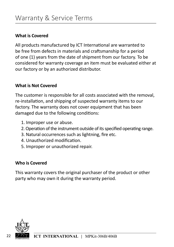#### **What is Covered**

All products manufactured by ICT International are warranted to be free from defects in materials and craftsmanship for a period of one (1) years from the date of shipment from our factory. To be considered for warranty coverage an item must be evaluated either at our factory or by an authorized distributor.

#### **What is Not Covered**

The customer is responsible for all costs associated with the removal, re-installation, and shipping of suspected warranty items to our factory. The warranty does not cover equipment that has been damaged due to the following conditions:

- 1. Improper use or abuse.
- 2. Operation of the instrument outside of its specified operating range.
- 3. Natural occurrences such as lightning, fire etc.
- 4. Unauthorized modification.
- 5. Improper or unauthorized repair.

#### **Who is Covered**

This warranty covers the original purchaser of the product or other party who may own it during the warranty period.

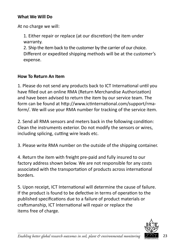#### **What We Will Do**

At no charge we will:

1. Either repair or replace (at our discretion) the item under warranty.

2. Ship the item back to the customer by the carrier of our choice. Different or expedited shipping methods will be at the customer's expense.

#### **How To Return An Item**

1. Please do not send any products back to ICT International until you have filled out an online RMA (Return Merchandise Authorization) and have been advised to return the item by our service team. The form can be found at http://www.ictinternational.com/support/rmaform/. We will use your RMA number for tracking of the service item.

2. Send all RMA sensors and meters back in the following condition: Clean the instruments exterior. Do not modify the sensors or wires, including splicing, cutting wire leads etc.

3. Please write RMA number on the outside of the shipping container.

4. Return the item with freight pre-paid and fully insured to our factory address shown below. We are not responsible for any costs associated with the transportation of products across international borders.

5. Upon receipt, ICT International will determine the cause of failure. If the product is found to be defective in terms of operation to the published specifications due to a failure of product materials or craftsmanship, ICT International will repair or replace the items free of charge.

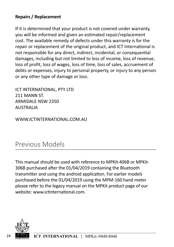#### **Repairs / Replacement**

If it is determined that your product is not covered under warranty, you will be informed and given an estimated repair/replacement cost. The available remedy of defects under this warranty is for the repair or replacement of the original product, and ICT International is not responsible for any direct, indirect, incidental, or consequential damages, including but not limited to loss of income, loss of revenue, loss of profit, loss of wages, loss of time, loss of sales, accruement of debts or expenses, injury to personal property, or injury to any person or any other type of damage or loss.

ICT INTERNATIONAL, PTY LTD 211 MANN ST. ARMIDALE NSW 2350 AUSTRALIA

WWW.ICTINTERNATIONAL.COM.AU

## Previous Models

This manual should be used with reference to MPKit-406B or MPKit-306B purchased after the 01/04/2019 containing the Bluetooth transmitter and using the android application. For earlier models purchased before the 01/04/2019 using the MPM-160 hand meter please refer to the legacy manual on the MPKit product page of our website: www.ictinternational.com.